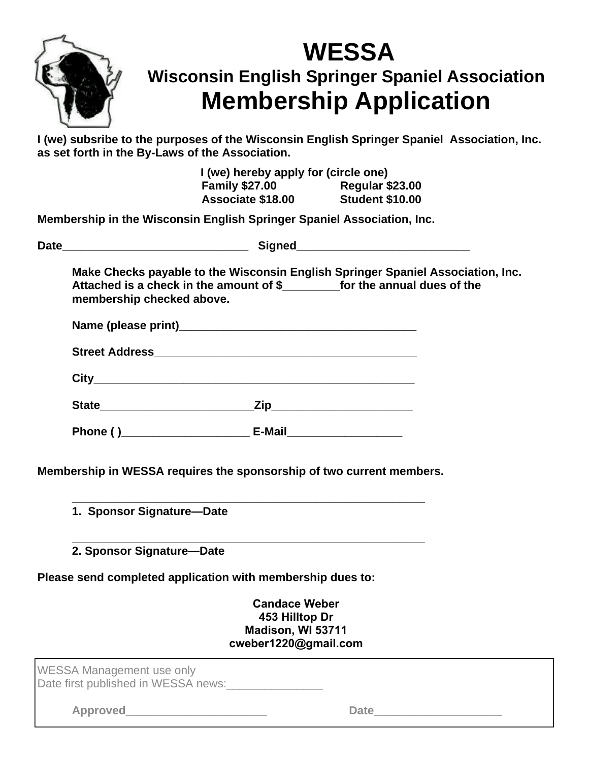

## **WESSA Wisconsin English Springer Spaniel Association Membership Application**

**I (we) subsribe to the purposes of the Wisconsin English Springer Spaniel Association, Inc. as set forth in the By-Laws of the Association.**

> **I (we) hereby apply for (circle one) Family \$27.00 Regular \$23.00 Associate \$18.00 Student \$10.00**

**Membership in the Wisconsin English Springer Spaniel Association, Inc.**

| Make Checks payable to the Wisconsin English Springer Spaniel Association, Inc.<br>Attached is a check in the amount of \$____________ for the annual dues of the<br>membership checked above. |  |  |  |  |  |  |
|------------------------------------------------------------------------------------------------------------------------------------------------------------------------------------------------|--|--|--|--|--|--|
|                                                                                                                                                                                                |  |  |  |  |  |  |
|                                                                                                                                                                                                |  |  |  |  |  |  |
|                                                                                                                                                                                                |  |  |  |  |  |  |
|                                                                                                                                                                                                |  |  |  |  |  |  |
|                                                                                                                                                                                                |  |  |  |  |  |  |
| 1. Sponsor Signature-Date                                                                                                                                                                      |  |  |  |  |  |  |
| 2. Sponsor Signature-Date                                                                                                                                                                      |  |  |  |  |  |  |
| Please send completed application with membership dues to:                                                                                                                                     |  |  |  |  |  |  |
| <b>Candace Weber</b><br>453 Hilltop Dr<br>Madison, WI 53711<br>cweber1220@gmail.com                                                                                                            |  |  |  |  |  |  |
| WESSA Management use only<br>Date first published in WESSA news:                                                                                                                               |  |  |  |  |  |  |
|                                                                                                                                                                                                |  |  |  |  |  |  |
| <b>Approved</b><br><b>Date</b><br>the contract of the contract of the contract of the contract of the contract of                                                                              |  |  |  |  |  |  |